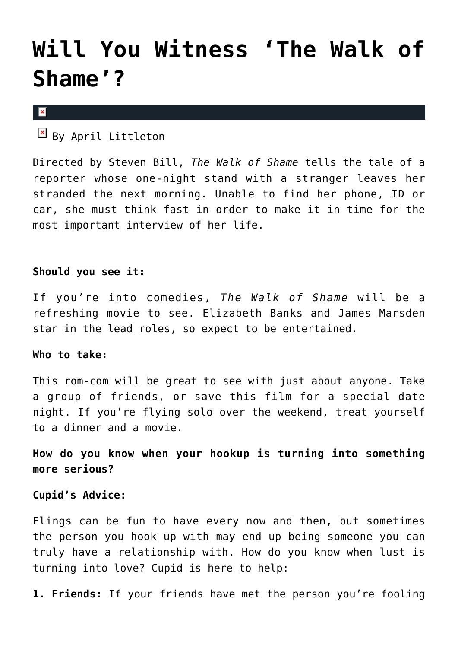## **[Will You Witness 'The Walk of](https://cupidspulse.com/74055/walk-of-shame-movie/) [Shame'?](https://cupidspulse.com/74055/walk-of-shame-movie/)**

 $\pmb{\times}$ 

 $\mathbb{F}$  By April Littleton

Directed by Steven Bill, *The Walk of Shame* tells the tale of a reporter whose one-night stand with a stranger leaves her stranded the next morning. Unable to find her phone, ID or car, she must think fast in order to make it in time for the most important interview of her life.

## **Should you see it:**

If you're into comedies, *The Walk of Shame* will be a refreshing movie to see. Elizabeth Banks and James Marsden star in the lead roles, so expect to be entertained.

## **Who to take:**

This rom-com will be great to see with just about anyone. Take a group of friends, or save this film for a special date night. If you're flying solo over the weekend, treat yourself to a dinner and a movie.

**How do you know when your hookup is turning into something more serious?** 

## **Cupid's Advice:**

Flings can be fun to have every now and then, but sometimes the person you hook up with may end up being someone you can truly have a relationship with. How do you know when lust is turning into love? Cupid is here to help:

**1. Friends:** If your friends have met the person you're fooling